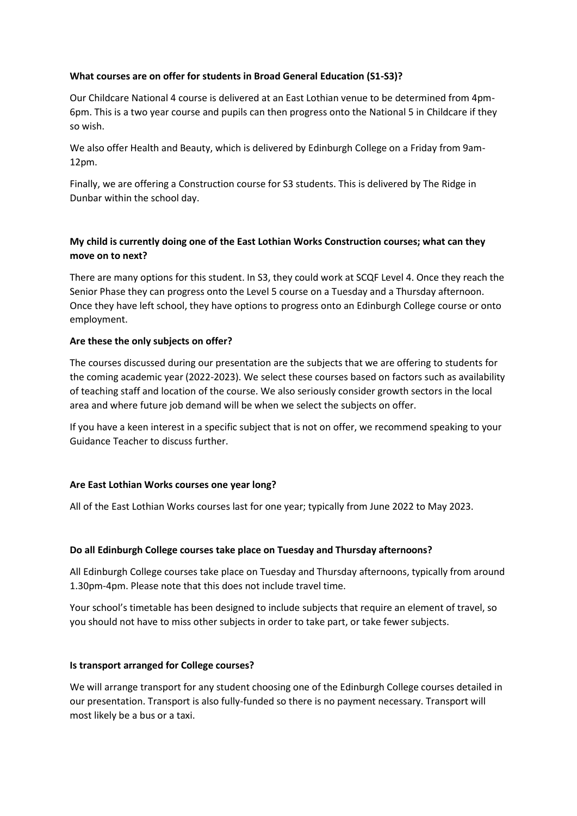### **What courses are on offer for students in Broad General Education (S1-S3)?**

Our Childcare National 4 course is delivered at an East Lothian venue to be determined from 4pm-6pm. This is a two year course and pupils can then progress onto the National 5 in Childcare if they so wish.

We also offer Health and Beauty, which is delivered by Edinburgh College on a Friday from 9am-12pm.

Finally, we are offering a Construction course for S3 students. This is delivered by The Ridge in Dunbar within the school day.

# **My child is currently doing one of the East Lothian Works Construction courses; what can they move on to next?**

There are many options for this student. In S3, they could work at SCQF Level 4. Once they reach the Senior Phase they can progress onto the Level 5 course on a Tuesday and a Thursday afternoon. Once they have left school, they have options to progress onto an Edinburgh College course or onto employment.

### **Are these the only subjects on offer?**

The courses discussed during our presentation are the subjects that we are offering to students for the coming academic year (2022-2023). We select these courses based on factors such as availability of teaching staff and location of the course. We also seriously consider growth sectors in the local area and where future job demand will be when we select the subjects on offer.

If you have a keen interest in a specific subject that is not on offer, we recommend speaking to your Guidance Teacher to discuss further.

# **Are East Lothian Works courses one year long?**

All of the East Lothian Works courses last for one year; typically from June 2022 to May 2023.

### **Do all Edinburgh College courses take place on Tuesday and Thursday afternoons?**

All Edinburgh College courses take place on Tuesday and Thursday afternoons, typically from around 1.30pm-4pm. Please note that this does not include travel time.

Your school's timetable has been designed to include subjects that require an element of travel, so you should not have to miss other subjects in order to take part, or take fewer subjects.

### **Is transport arranged for College courses?**

We will arrange transport for any student choosing one of the Edinburgh College courses detailed in our presentation. Transport is also fully-funded so there is no payment necessary. Transport will most likely be a bus or a taxi.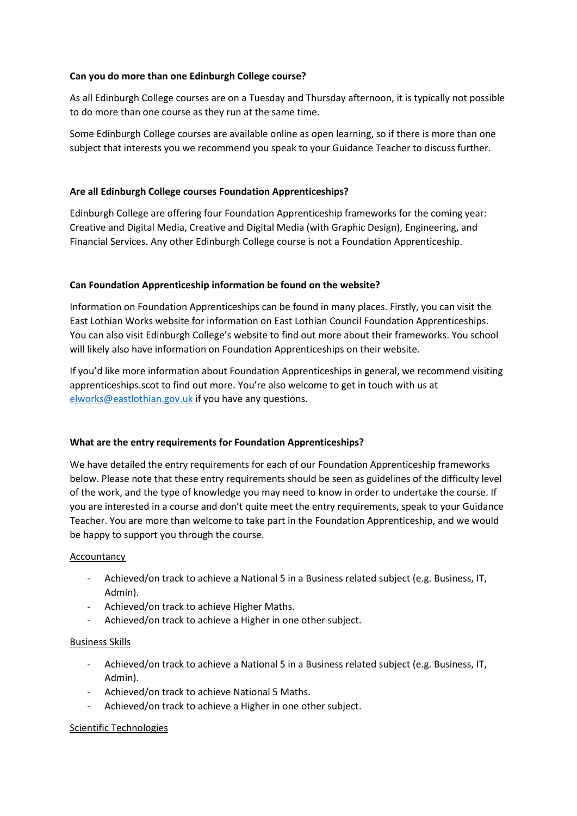### **Can you do more than one Edinburgh College course?**

As all Edinburgh College courses are on a Tuesday and Thursday afternoon, it is typically not possible to do more than one course as they run at the same time.

Some Edinburgh College courses are available online as open learning, so if there is more than one subject that interests you we recommend you speak to your Guidance Teacher to discuss further.

## **Are all Edinburgh College courses Foundation Apprenticeships?**

Edinburgh College are offering four Foundation Apprenticeship frameworks for the coming year: Creative and Digital Media, Creative and Digital Media (with Graphic Design), Engineering, and Financial Services. Any other Edinburgh College course is not a Foundation Apprenticeship.

### **Can Foundation Apprenticeship information be found on the website?**

Information on Foundation Apprenticeships can be found in many places. Firstly, you can visit the East Lothian Works website for information on East Lothian Council Foundation Apprenticeships. You can also visit Edinburgh College's website to find out more about their frameworks. You school will likely also have information on Foundation Apprenticeships on their website.

If you'd like more information about Foundation Apprenticeships in general, we recommend visiting apprenticeships.scot to find out more. You're also welcome to get in touch with us at [elworks@eastlothian.gov.uk](mailto:elworks@eastlothian.gov.uk) if you have any questions.

### **What are the entry requirements for Foundation Apprenticeships?**

We have detailed the entry requirements for each of our Foundation Apprenticeship frameworks below. Please note that these entry requirements should be seen as guidelines of the difficulty level of the work, and the type of knowledge you may need to know in order to undertake the course. If you are interested in a course and don't quite meet the entry requirements, speak to your Guidance Teacher. You are more than welcome to take part in the Foundation Apprenticeship, and we would be happy to support you through the course.

### Accountancy

- Achieved/on track to achieve a National 5 in a Business related subject (e.g. Business, IT, Admin).
- Achieved/on track to achieve Higher Maths.
- Achieved/on track to achieve a Higher in one other subject.

### Business Skills

- Achieved/on track to achieve a National 5 in a Business related subject (e.g. Business, IT, Admin).
- Achieved/on track to achieve National 5 Maths.
- Achieved/on track to achieve a Higher in one other subject.

### Scientific Technologies